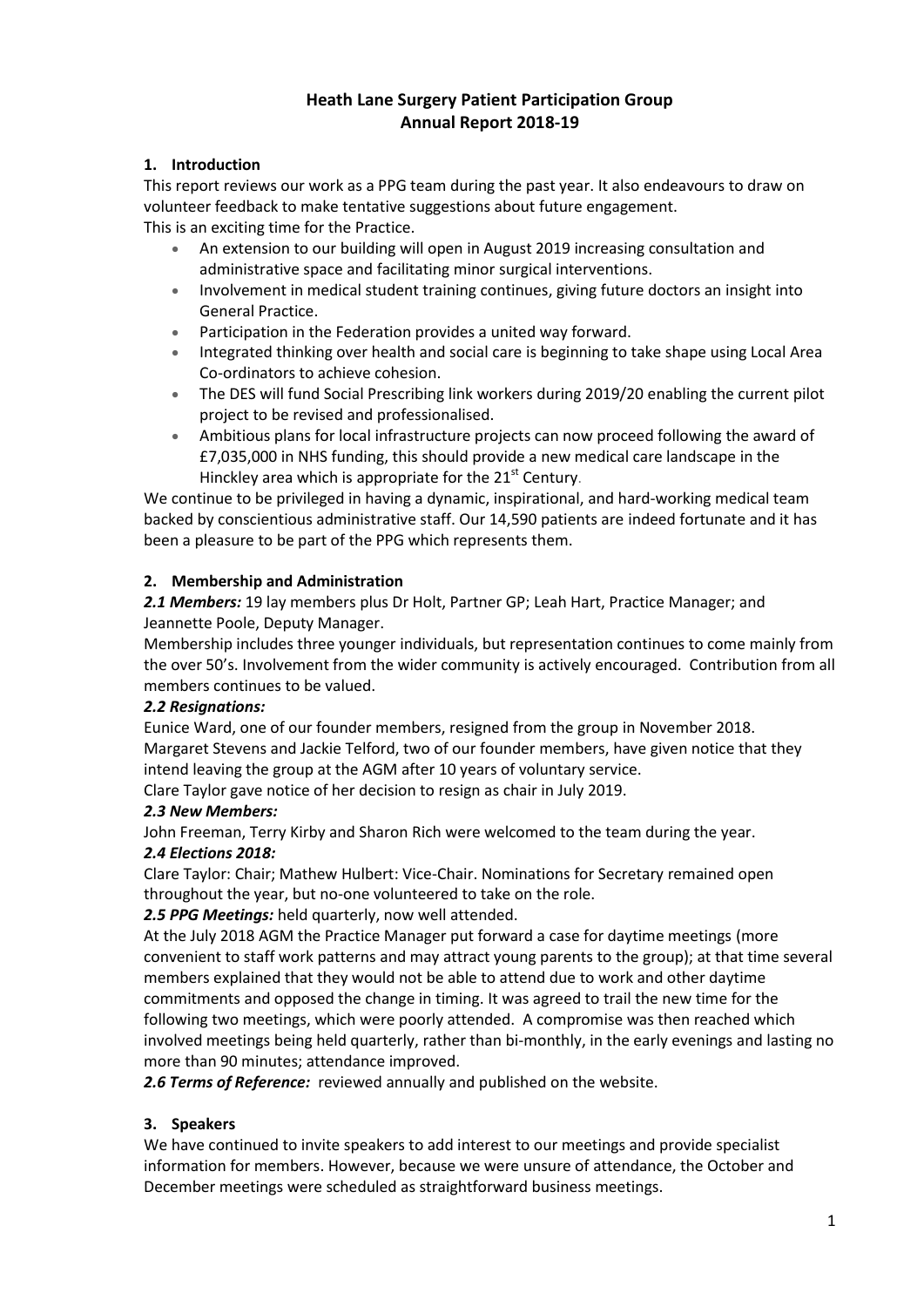# **Heath Lane Surgery Patient Participation Group Annual Report 2018-19**

# **1. Introduction**

This report reviews our work as a PPG team during the past year. It also endeavours to draw on volunteer feedback to make tentative suggestions about future engagement.

This is an exciting time for the Practice.

- An extension to our building will open in August 2019 increasing consultation and administrative space and facilitating minor surgical interventions.
- Involvement in medical student training continues, giving future doctors an insight into General Practice.
- Participation in the Federation provides a united way forward.
- Integrated thinking over health and social care is beginning to take shape using Local Area Co-ordinators to achieve cohesion.
- The DES will fund Social Prescribing link workers during 2019/20 enabling the current pilot project to be revised and professionalised.
- Ambitious plans for local infrastructure projects can now proceed following the award of £7,035,000 in NHS funding, this should provide a new medical care landscape in the Hinckley area which is appropriate for the 21<sup>st</sup> Century.

We continue to be privileged in having a dynamic, inspirational, and hard-working medical team backed by conscientious administrative staff. Our 14,590 patients are indeed fortunate and it has been a pleasure to be part of the PPG which represents them.

### **2. Membership and Administration**

*2.1 Members:* 19 lay members plus Dr Holt, Partner GP; Leah Hart, Practice Manager; and Jeannette Poole, Deputy Manager.

Membership includes three younger individuals, but representation continues to come mainly from the over 50's. Involvement from the wider community is actively encouraged. Contribution from all members continues to be valued.

### *2.2 Resignations:*

Eunice Ward, one of our founder members, resigned from the group in November 2018. Margaret Stevens and Jackie Telford, two of our founder members, have given notice that they intend leaving the group at the AGM after 10 years of voluntary service.

Clare Taylor gave notice of her decision to resign as chair in July 2019.

### *2.3 New Members:*

John Freeman, Terry Kirby and Sharon Rich were welcomed to the team during the year.

### *2.4 Elections 2018:*

Clare Taylor: Chair; Mathew Hulbert: Vice-Chair. Nominations for Secretary remained open throughout the year, but no-one volunteered to take on the role.

*2.5 PPG Meetings:* held quarterly, now well attended.

At the July 2018 AGM the Practice Manager put forward a case for daytime meetings (more convenient to staff work patterns and may attract young parents to the group); at that time several members explained that they would not be able to attend due to work and other daytime commitments and opposed the change in timing. It was agreed to trail the new time for the following two meetings, which were poorly attended. A compromise was then reached which involved meetings being held quarterly, rather than bi-monthly, in the early evenings and lasting no more than 90 minutes; attendance improved.

*2.6 Terms of Reference:* reviewed annually and published on the website.

### **3. Speakers**

We have continued to invite speakers to add interest to our meetings and provide specialist information for members. However, because we were unsure of attendance, the October and December meetings were scheduled as straightforward business meetings.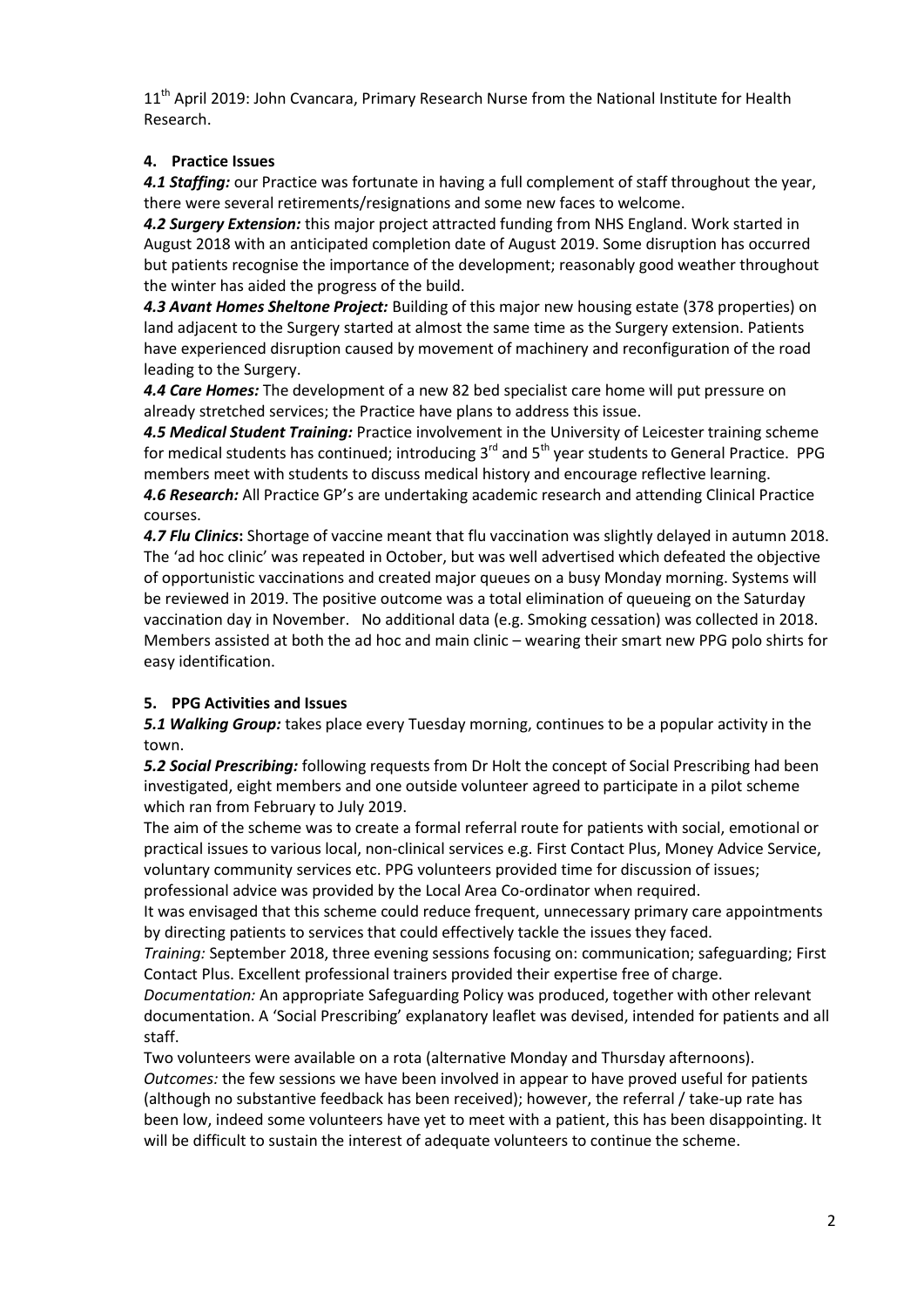11<sup>th</sup> April 2019: John Cvancara, Primary Research Nurse from the National Institute for Health Research.

# **4. Practice Issues**

*4.1 Staffing:* our Practice was fortunate in having a full complement of staff throughout the year, there were several retirements/resignations and some new faces to welcome.

*4.2 Surgery Extension:* this major project attracted funding from NHS England. Work started in August 2018 with an anticipated completion date of August 2019. Some disruption has occurred but patients recognise the importance of the development; reasonably good weather throughout the winter has aided the progress of the build.

*4.3 Avant Homes Sheltone Project:* Building of this major new housing estate (378 properties) on land adjacent to the Surgery started at almost the same time as the Surgery extension. Patients have experienced disruption caused by movement of machinery and reconfiguration of the road leading to the Surgery.

*4.4 Care Homes:* The development of a new 82 bed specialist care home will put pressure on already stretched services; the Practice have plans to address this issue.

*4.5 Medical Student Training:* Practice involvement in the University of Leicester training scheme for medical students has continued; introducing 3<sup>rd</sup> and 5<sup>th</sup> year students to General Practice. PPG members meet with students to discuss medical history and encourage reflective learning. *4.6 Research:* All Practice GP's are undertaking academic research and attending Clinical Practice courses.

*4.7 Flu Clinics***:** Shortage of vaccine meant that flu vaccination was slightly delayed in autumn 2018. The 'ad hoc clinic' was repeated in October, but was well advertised which defeated the objective of opportunistic vaccinations and created major queues on a busy Monday morning. Systems will be reviewed in 2019. The positive outcome was a total elimination of queueing on the Saturday vaccination day in November. No additional data (e.g. Smoking cessation) was collected in 2018. Members assisted at both the ad hoc and main clinic – wearing their smart new PPG polo shirts for easy identification.

### **5. PPG Activities and Issues**

*5.1 Walking Group:* takes place every Tuesday morning, continues to be a popular activity in the town.

*5.2 Social Prescribing:* following requests from Dr Holt the concept of Social Prescribing had been investigated, eight members and one outside volunteer agreed to participate in a pilot scheme which ran from February to July 2019.

The aim of the scheme was to create a formal referral route for patients with social, emotional or practical issues to various local, non-clinical services e.g. First Contact Plus, Money Advice Service, voluntary community services etc. PPG volunteers provided time for discussion of issues; professional advice was provided by the Local Area Co-ordinator when required.

It was envisaged that this scheme could reduce frequent, unnecessary primary care appointments by directing patients to services that could effectively tackle the issues they faced.

*Training:* September 2018, three evening sessions focusing on: communication; safeguarding; First Contact Plus. Excellent professional trainers provided their expertise free of charge.

*Documentation:* An appropriate Safeguarding Policy was produced, together with other relevant documentation. A 'Social Prescribing' explanatory leaflet was devised, intended for patients and all staff.

Two volunteers were available on a rota (alternative Monday and Thursday afternoons). *Outcomes:* the few sessions we have been involved in appear to have proved useful for patients (although no substantive feedback has been received); however, the referral / take-up rate has been low, indeed some volunteers have yet to meet with a patient, this has been disappointing. It will be difficult to sustain the interest of adequate volunteers to continue the scheme.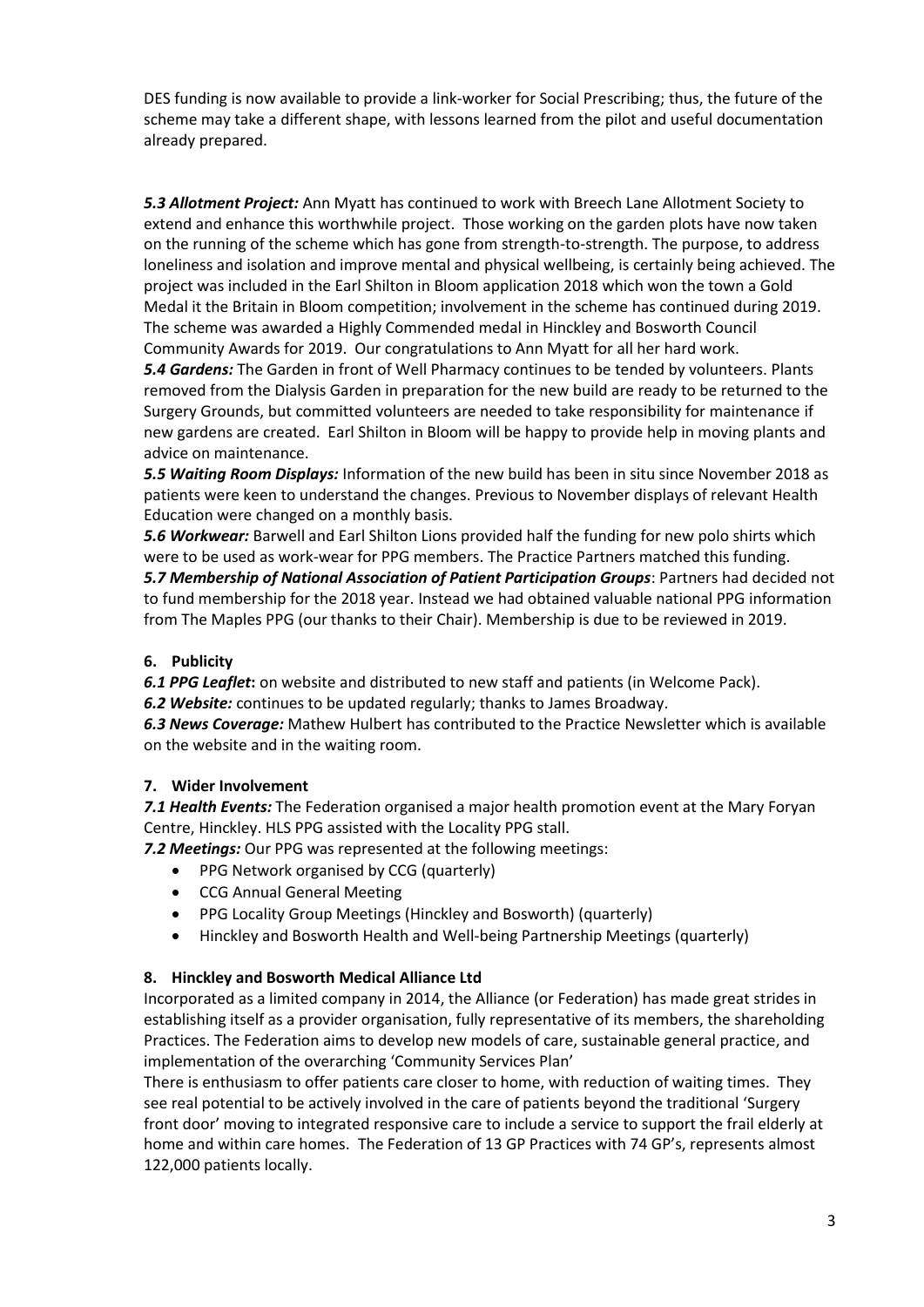DES funding is now available to provide a link-worker for Social Prescribing; thus, the future of the scheme may take a different shape, with lessons learned from the pilot and useful documentation already prepared.

*5.3 Allotment Project:* Ann Myatt has continued to work with Breech Lane Allotment Society to extend and enhance this worthwhile project. Those working on the garden plots have now taken on the running of the scheme which has gone from strength-to-strength. The purpose, to address loneliness and isolation and improve mental and physical wellbeing, is certainly being achieved. The project was included in the Earl Shilton in Bloom application 2018 which won the town a Gold Medal it the Britain in Bloom competition; involvement in the scheme has continued during 2019. The scheme was awarded a Highly Commended medal in Hinckley and Bosworth Council Community Awards for 2019. Our congratulations to Ann Myatt for all her hard work.

*5.4 Gardens:* The Garden in front of Well Pharmacy continues to be tended by volunteers. Plants removed from the Dialysis Garden in preparation for the new build are ready to be returned to the Surgery Grounds, but committed volunteers are needed to take responsibility for maintenance if new gardens are created. Earl Shilton in Bloom will be happy to provide help in moving plants and advice on maintenance.

*5.5 Waiting Room Displays:* Information of the new build has been in situ since November 2018 as patients were keen to understand the changes. Previous to November displays of relevant Health Education were changed on a monthly basis.

*5.6 Workwear:* Barwell and Earl Shilton Lions provided half the funding for new polo shirts which were to be used as work-wear for PPG members. The Practice Partners matched this funding.

*5.7 Membership of National Association of Patient Participation Groups*: Partners had decided not to fund membership for the 2018 year. Instead we had obtained valuable national PPG information from The Maples PPG (our thanks to their Chair). Membership is due to be reviewed in 2019.

# **6. Publicity**

*6.1 PPG Leaflet***:** on website and distributed to new staff and patients (in Welcome Pack).

*6.2 Website:* continues to be updated regularly; thanks to James Broadway.

*6.3 News Coverage:* Mathew Hulbert has contributed to the Practice Newsletter which is available on the website and in the waiting room.

### **7. Wider Involvement**

*7.1 Health Events:* The Federation organised a major health promotion event at the Mary Foryan Centre, Hinckley. HLS PPG assisted with the Locality PPG stall.

*7.2 Meetings:* Our PPG was represented at the following meetings:

- PPG Network organised by CCG (quarterly)
- CCG Annual General Meeting
- PPG Locality Group Meetings (Hinckley and Bosworth) (quarterly)
- Hinckley and Bosworth Health and Well-being Partnership Meetings (quarterly)

### **8. Hinckley and Bosworth Medical Alliance Ltd**

Incorporated as a limited company in 2014, the Alliance (or Federation) has made great strides in establishing itself as a provider organisation, fully representative of its members, the shareholding Practices. The Federation aims to develop new models of care, sustainable general practice, and implementation of the overarching 'Community Services Plan'

There is enthusiasm to offer patients care closer to home, with reduction of waiting times. They see real potential to be actively involved in the care of patients beyond the traditional 'Surgery front door' moving to integrated responsive care to include a service to support the frail elderly at home and within care homes. The Federation of 13 GP Practices with 74 GP's, represents almost 122,000 patients locally.